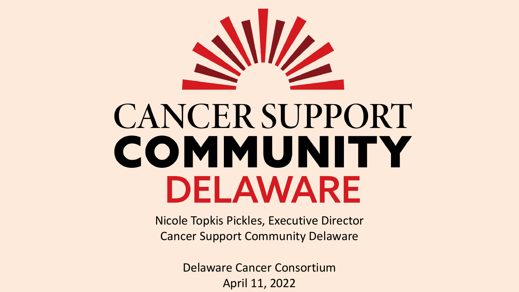

# **CANCER SUPPORT** COMMUNITY DELAWARE

Nicole Topkis Pickles, Executive Director Cancer Support Community Delaware

> Delaware Cancer Consortium April 11, 2022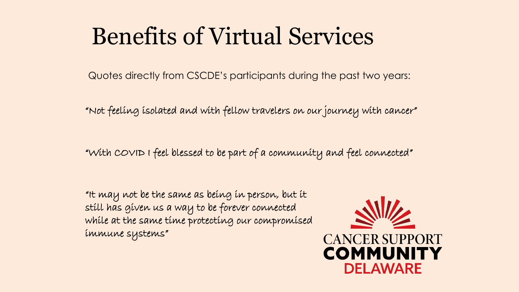### Benefits of Virtual Services

Quotes directly from CSCDE's participants during the past two years:

"Not feeling isolated and with fellow travelers on our journey with cancer"

"With COVID I feel blessed to be part of a community and feel connected"

"It may not be the same as being in person, but it still has given us a way to be forever connected while at the same time protecting our compromised immune systems"

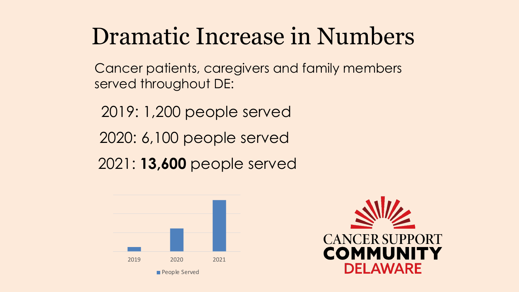### Dramatic Increase in Numbers

Cancer patients, caregivers and family members served throughout DE:

2019: 1,200 people served

2020: 6,100 people served

2021: **13,600** people served



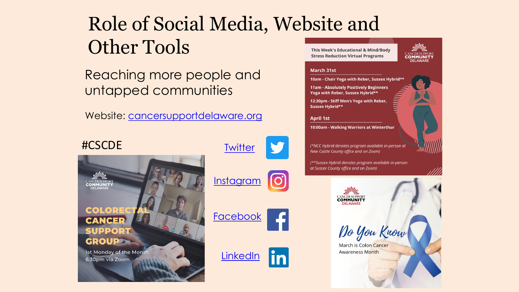### Role of Social Media, Website and Other Tools

Reaching more people and untapped communities

Website: [cancersupportdelaware.org](http://www.cancersupportdelaware.org/)



This Week's Educational & Mind/Body **Stress Reduction Virtual Programs** 



### **March 31st**

10am - Chair Yoga with Reber, Sussex Hybrid\*\* 11am - Absolutely Positively Beginners Yoga with Reber, Sussex Hybrid\*\*

12:30pm - Stiff Men's Yoga with Reber, Sussex Hybrid\*\*

### **April 1st**

lin

10:00am - Walking Warriors at Winterthur

(\*NCC Hybrid denotes program available in-person at New Castle County office and on Zoom)

(\*\*Sussex Hybrid denotes program available in-person at Sussex County office and on Zoom)

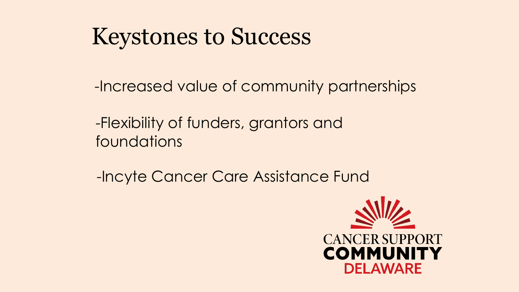### Keystones to Success

-Increased value of community partnerships

-Flexibility of funders, grantors and foundations

-Incyte Cancer Care Assistance Fund

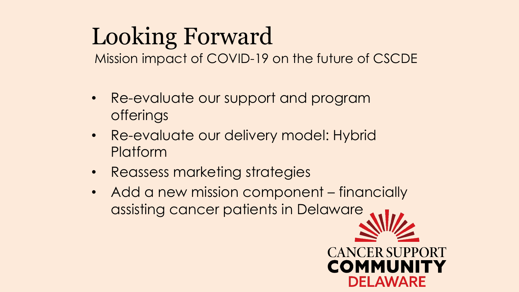## Looking Forward

Mission impact of COVID-19 on the future of CSCDE

- Re-evaluate our support and program offerings
- Re-evaluate our delivery model: Hybrid **Platform**
- Reassess marketing strategies
- Add a new mission component financially assisting cancer patients in Delaware